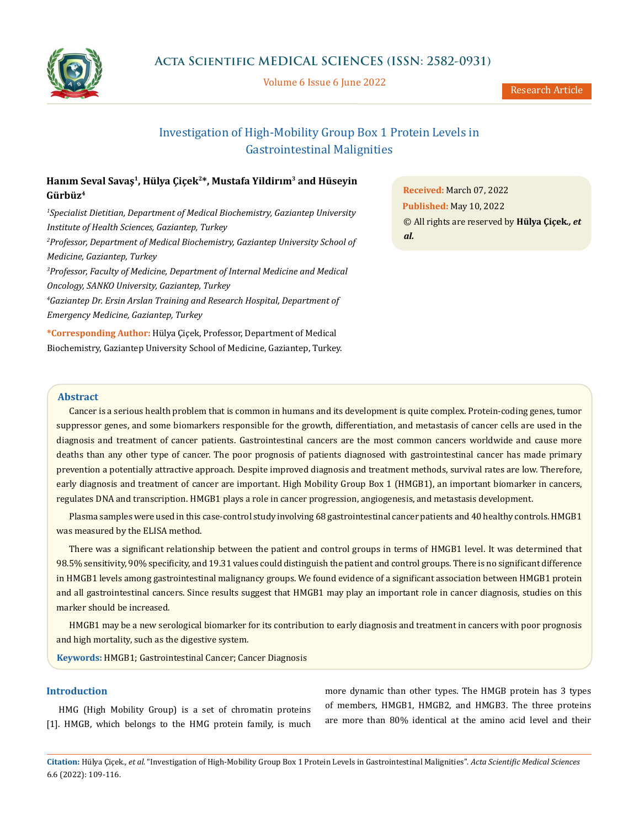

Volume 6 Issue 6 June 2022

# Investigation of High-Mobility Group Box 1 Protein Levels in Gastrointestinal Malignities

## **Hanım Seval Savaş<sup>1</sup>, Hülya Çiçek<sup>2</sup>\*, Mustafa Yildirım<sup>3</sup> and Hüseyin Gürbüz<sup>4</sup>**

*1 Specialist Dietitian, Department of Medical Biochemistry, Gaziantep University Institute of Health Sciences, Gaziantep, Turkey 2 Professor, Department of Medical Biochemistry, Gaziantep University School of Medicine, Gaziantep, Turkey 3 Professor, Faculty of Medicine, Department of Internal Medicine and Medical Oncology, SANKO University, Gaziantep, Turkey 4 Gaziantep Dr. Ersin Arslan Training and Research Hospital, Department of Emergency Medicine, Gaziantep, Turkey* **\*Corresponding Author:** Hülya Çiçek, Professor, Department of Medical

Biochemistry, Gaziantep University School of Medicine, Gaziantep, Turkey.

**Received:** March 07, 2022 **Published:** May 10, 2022 © All rights are reserved by **Hülya Çiçek***., et al.*

#### **Abstract**

Cancer is a serious health problem that is common in humans and its development is quite complex. Protein-coding genes, tumor suppressor genes, and some biomarkers responsible for the growth, differentiation, and metastasis of cancer cells are used in the diagnosis and treatment of cancer patients. Gastrointestinal cancers are the most common cancers worldwide and cause more deaths than any other type of cancer. The poor prognosis of patients diagnosed with gastrointestinal cancer has made primary prevention a potentially attractive approach. Despite improved diagnosis and treatment methods, survival rates are low. Therefore, early diagnosis and treatment of cancer are important. High Mobility Group Box 1 (HMGB1), an important biomarker in cancers, regulates DNA and transcription. HMGB1 plays a role in cancer progression, angiogenesis, and metastasis development.

Plasma samples were used in this case-control study involving 68 gastrointestinal cancer patients and 40 healthy controls. HMGB1 was measured by the ELISA method.

There was a significant relationship between the patient and control groups in terms of HMGB1 level. It was determined that 98.5% sensitivity, 90% specificity, and 19.31 values could distinguish the patient and control groups. There is no significant difference in HMGB1 levels among gastrointestinal malignancy groups. We found evidence of a significant association between HMGB1 protein and all gastrointestinal cancers. Since results suggest that HMGB1 may play an important role in cancer diagnosis, studies on this marker should be increased.

HMGB1 may be a new serological biomarker for its contribution to early diagnosis and treatment in cancers with poor prognosis and high mortality, such as the digestive system.

**Keywords:** HMGB1; Gastrointestinal Cancer; Cancer Diagnosis

## **Introduction**

HMG (High Mobility Group) is a set of chromatin proteins [1]. HMGB, which belongs to the HMG protein family, is much

more dynamic than other types. The HMGB protein has 3 types of members, HMGB1, HMGB2, and HMGB3. The three proteins are more than 80% identical at the amino acid level and their

**Citation:** Hülya Çiçek*., et al.* "Investigation of High-Mobility Group Box 1 Protein Levels in Gastrointestinal Malignities". *Acta Scientific Medical Sciences*  6.6 (2022): 109-116.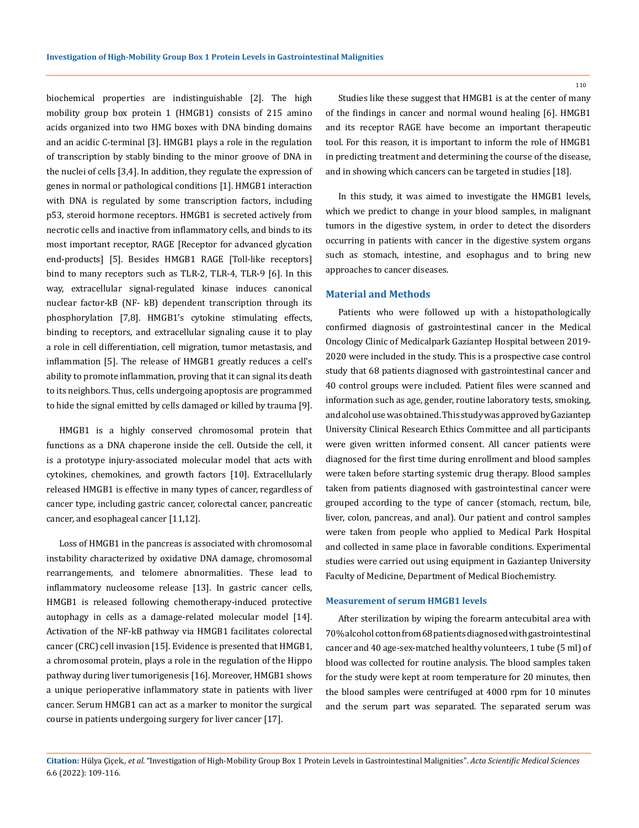biochemical properties are indistinguishable [2]. The high mobility group box protein 1 (HMGB1) consists of 215 amino acids organized into two HMG boxes with DNA binding domains and an acidic C-terminal [3]. HMGB1 plays a role in the regulation of transcription by stably binding to the minor groove of DNA in the nuclei of cells [3,4]. In addition, they regulate the expression of genes in normal or pathological conditions [1]. HMGB1 interaction with DNA is regulated by some transcription factors, including p53, steroid hormone receptors. HMGB1 is secreted actively from necrotic cells and inactive from inflammatory cells, and binds to its most important receptor, RAGE [Receptor for advanced glycation end-products] [5]. Besides HMGB1 RAGE [Toll-like receptors] bind to many receptors such as TLR-2, TLR-4, TLR-9 [6]. In this way, extracellular signal-regulated kinase induces canonical nuclear factor-kB (NF- kB) dependent transcription through its phosphorylation [7,8]. HMGB1's cytokine stimulating effects, binding to receptors, and extracellular signaling cause it to play a role in cell differentiation, cell migration, tumor metastasis, and inflammation [5]. The release of HMGB1 greatly reduces a cell's ability to promote inflammation, proving that it can signal its death to its neighbors. Thus, cells undergoing apoptosis are programmed to hide the signal emitted by cells damaged or killed by trauma [9].

HMGB1 is a highly conserved chromosomal protein that functions as a DNA chaperone inside the cell. Outside the cell, it is a prototype injury-associated molecular model that acts with cytokines, chemokines, and growth factors [10]. Extracellularly released HMGB1 is effective in many types of cancer, regardless of cancer type, including gastric cancer, colorectal cancer, pancreatic cancer, and esophageal cancer [11,12].

Loss of HMGB1 in the pancreas is associated with chromosomal instability characterized by oxidative DNA damage, chromosomal rearrangements, and telomere abnormalities. These lead to inflammatory nucleosome release [13]. In gastric cancer cells, HMGB1 is released following chemotherapy-induced protective autophagy in cells as a damage-related molecular model [14]. Activation of the NF-kB pathway via HMGB1 facilitates colorectal cancer (CRC) cell invasion [15]. Evidence is presented that HMGB1, a chromosomal protein, plays a role in the regulation of the Hippo pathway during liver tumorigenesis [16]. Moreover, HMGB1 shows a unique perioperative inflammatory state in patients with liver cancer. Serum HMGB1 can act as a marker to monitor the surgical course in patients undergoing surgery for liver cancer [17].

Studies like these suggest that HMGB1 is at the center of many of the findings in cancer and normal wound healing [6]. HMGB1 and its receptor RAGE have become an important therapeutic tool. For this reason, it is important to inform the role of HMGB1 in predicting treatment and determining the course of the disease, and in showing which cancers can be targeted in studies [18].

In this study, it was aimed to investigate the HMGB1 levels, which we predict to change in your blood samples, in malignant tumors in the digestive system, in order to detect the disorders occurring in patients with cancer in the digestive system organs such as stomach, intestine, and esophagus and to bring new approaches to cancer diseases.

## **Material and Methods**

Patients who were followed up with a histopathologically confirmed diagnosis of gastrointestinal cancer in the Medical Oncology Clinic of Medicalpark Gaziantep Hospital between 2019- 2020 were included in the study. This is a prospective case control study that 68 patients diagnosed with gastrointestinal cancer and 40 control groups were included. Patient files were scanned and information such as age, gender, routine laboratory tests, smoking, and alcohol use was obtained. This study was approved by Gaziantep University Clinical Research Ethics Committee and all participants were given written informed consent. All cancer patients were diagnosed for the first time during enrollment and blood samples were taken before starting systemic drug therapy. Blood samples taken from patients diagnosed with gastrointestinal cancer were grouped according to the type of cancer (stomach, rectum, bile, liver, colon, pancreas, and anal). Our patient and control samples were taken from people who applied to Medical Park Hospital and collected in same place in favorable conditions. Experimental studies were carried out using equipment in Gaziantep University Faculty of Medicine, Department of Medical Biochemistry.

#### **Measurement of serum HMGB1 levels**

After sterilization by wiping the forearm antecubital area with 70% alcohol cotton from 68 patients diagnosed with gastrointestinal cancer and 40 age-sex-matched healthy volunteers, 1 tube (5 ml) of blood was collected for routine analysis. The blood samples taken for the study were kept at room temperature for 20 minutes, then the blood samples were centrifuged at 4000 rpm for 10 minutes and the serum part was separated. The separated serum was

**Citation:** Hülya Çiçek*., et al.* "Investigation of High-Mobility Group Box 1 Protein Levels in Gastrointestinal Malignities". *Acta Scientific Medical Sciences*  6.6 (2022): 109-116.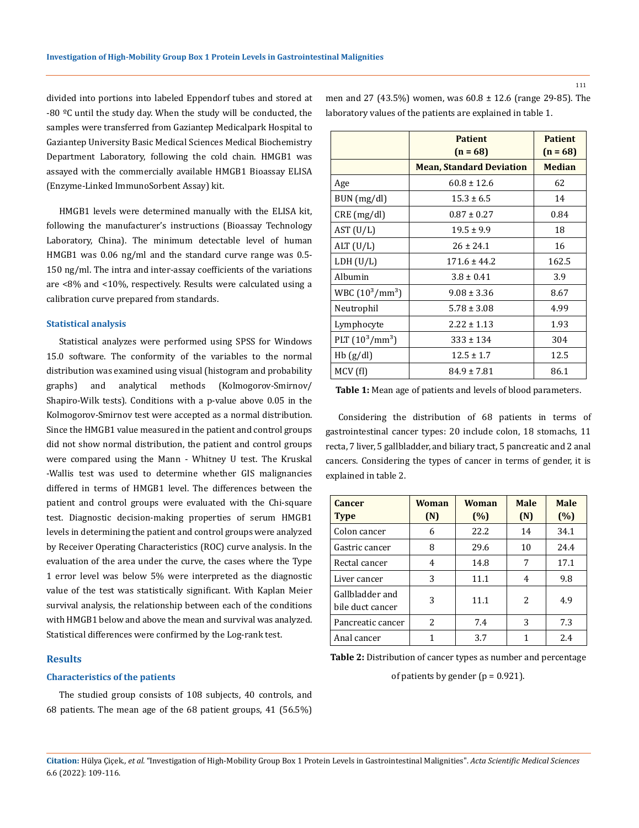divided into portions into labeled Eppendorf tubes and stored at  $-80$  °C until the study day. When the study will be conducted, the samples were transferred from Gaziantep Medicalpark Hospital to Gaziantep University Basic Medical Sciences Medical Biochemistry Department Laboratory, following the cold chain. HMGB1 was assayed with the commercially available HMGB1 Bioassay ELISA (Enzyme-Linked ImmunoSorbent Assay) kit.

HMGB1 levels were determined manually with the ELISA kit, following the manufacturer's instructions (Bioassay Technology Laboratory, China). The minimum detectable level of human HMGB1 was 0.06 ng/ml and the standard curve range was 0.5- 150 ng/ml. The intra and inter-assay coefficients of the variations are <8% and <10%, respectively. Results were calculated using a calibration curve prepared from standards.

## **Statistical analysis**

Statistical analyzes were performed using SPSS for Windows 15.0 software. The conformity of the variables to the normal distribution was examined using visual (histogram and probability graphs) and analytical methods (Kolmogorov-Smirnov/ Shapiro-Wilk tests). Conditions with a p-value above 0.05 in the Kolmogorov-Smirnov test were accepted as a normal distribution. Since the HMGB1 value measured in the patient and control groups did not show normal distribution, the patient and control groups were compared using the Mann - Whitney U test. The Kruskal -Wallis test was used to determine whether GIS malignancies differed in terms of HMGB1 level. The differences between the patient and control groups were evaluated with the Chi-square test. Diagnostic decision-making properties of serum HMGB1 levels in determining the patient and control groups were analyzed by Receiver Operating Characteristics (ROC) curve analysis. In the evaluation of the area under the curve, the cases where the Type 1 error level was below 5% were interpreted as the diagnostic value of the test was statistically significant. With Kaplan Meier survival analysis, the relationship between each of the conditions with HMGB1 below and above the mean and survival was analyzed. Statistical differences were confirmed by the Log-rank test.

#### **Results**

## **Characteristics of the patients**

The studied group consists of 108 subjects, 40 controls, and 68 patients. The mean age of the 68 patient groups, 41 (56.5%) men and 27 (43.5%) women, was 60.8 ± 12.6 (range 29-85). The laboratory values of the patients are explained in table 1.

|                          | <b>Patient</b>                  | <b>Patient</b> |
|--------------------------|---------------------------------|----------------|
|                          | $(n = 68)$                      | $(n = 68)$     |
|                          | <b>Mean, Standard Deviation</b> | <b>Median</b>  |
| Age                      | $60.8 \pm 12.6$                 | 62             |
| BUN (mg/dl)              | $15.3 \pm 6.5$                  | 14             |
| CRE (mg/dl)              | $0.87 \pm 0.27$                 | 0.84           |
| AST (U/L)                | $19.5 \pm 9.9$                  | 18             |
| ALT $(U/L)$              | $26 \pm 24.1$                   | 16             |
| LDH (U/L)                | $171.6 \pm 44.2$                | 162.5          |
| Albumin                  | $3.8 \pm 0.41$                  | 3.9            |
| WBC $(10^3/\text{mm}^3)$ | $9.08 \pm 3.36$                 | 8.67           |
| Neutrophil               | $5.78 \pm 3.08$                 | 4.99           |
| Lymphocyte               | $2.22 \pm 1.13$                 | 1.93           |
| PLT $(10^3/\text{mm}^3)$ | $333 \pm 134$                   | 304            |
| Hb(g/dl)                 | $12.5 \pm 1.7$                  | 12.5           |
| MCV (fl)                 | $84.9 \pm 7.81$                 | 86.1           |

**Table 1:** Mean age of patients and levels of blood parameters.

Considering the distribution of 68 patients in terms of gastrointestinal cancer types: 20 include colon, 18 stomachs, 11 recta, 7 liver, 5 gallbladder, and biliary tract, 5 pancreatic and 2 anal cancers. Considering the types of cancer in terms of gender, it is explained in table 2.

| Cancer<br><b>Type</b>               | Woman<br>(N) | Woman<br>(%) | <b>Male</b><br>(N) | <b>Male</b><br>(%) |
|-------------------------------------|--------------|--------------|--------------------|--------------------|
| Colon cancer                        | 6            | 22.2         | 14                 | 34.1               |
| Gastric cancer                      | 8            | 29.6         | 10                 | 24.4               |
| Rectal cancer                       | 4            | 14.8         | 7                  | 17.1               |
| Liver cancer                        | 3            | 11.1         | 4                  | 9.8                |
| Gallbladder and<br>bile duct cancer | 3            | 11.1         | 2                  | 4.9                |
| Pancreatic cancer                   | 2            | 7.4          | 3                  | 7.3                |
| Anal cancer                         |              | 3.7          |                    | 2.4                |

**Table 2:** Distribution of cancer types as number and percentage

of patients by gender ( $p = 0.921$ ).

**Citation:** Hülya Çiçek*., et al.* "Investigation of High-Mobility Group Box 1 Protein Levels in Gastrointestinal Malignities". *Acta Scientific Medical Sciences*  6.6 (2022): 109-116.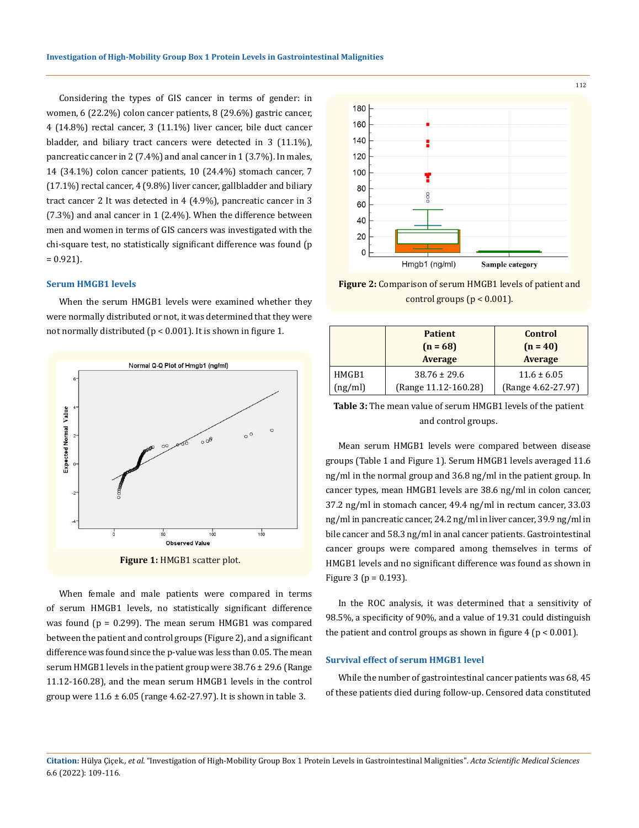Considering the types of GIS cancer in terms of gender: in women, 6 (22.2%) colon cancer patients, 8 (29.6%) gastric cancer, 4 (14.8%) rectal cancer, 3 (11.1%) liver cancer, bile duct cancer bladder, and biliary tract cancers were detected in 3 (11.1%), pancreatic cancer in 2 (7.4%) and anal cancer in 1 (3.7%). In males, 14 (34.1%) colon cancer patients, 10 (24.4%) stomach cancer, 7 (17.1%) rectal cancer, 4 (9.8%) liver cancer, gallbladder and biliary tract cancer 2 It was detected in 4 (4.9%), pancreatic cancer in 3 (7.3%) and anal cancer in 1 (2.4%). When the difference between men and women in terms of GIS cancers was investigated with the chi-square test, no statistically significant difference was found (p  $= 0.921$ ).

#### **Serum HMGB1 levels**

When the serum HMGB1 levels were examined whether they were normally distributed or not, it was determined that they were not normally distributed (p < 0.001). It is shown in figure 1.



When female and male patients were compared in terms of serum HMGB1 levels, no statistically significant difference was found  $(p = 0.299)$ . The mean serum HMGB1 was compared between the patient and control groups (Figure 2), and a significant difference was found since the p-value was less than 0.05. The mean serum HMGB1 levels in the patient group were 38.76 ± 29.6 (Range 11.12-160.28), and the mean serum HMGB1 levels in the control group were  $11.6 \pm 6.05$  (range 4.62-27.97). It is shown in table 3.



**Figure 2:** Comparison of serum HMGB1 levels of patient and control groups ( $p < 0.001$ ).

|         | <b>Patient</b><br>$(n = 68)$<br><b>Average</b> | Control<br>$(n = 40)$<br><b>Average</b> |
|---------|------------------------------------------------|-----------------------------------------|
| HMGB1   | $38.76 \pm 29.6$                               | $11.6 \pm 6.05$                         |
| (ng/ml) | (Range 11.12-160.28)                           | (Range 4.62-27.97)                      |

**Table 3:** The mean value of serum HMGB1 levels of the patient and control groups.

Mean serum HMGB1 levels were compared between disease groups (Table 1 and Figure 1). Serum HMGB1 levels averaged 11.6 ng/ml in the normal group and 36.8 ng/ml in the patient group. In cancer types, mean HMGB1 levels are 38.6 ng/ml in colon cancer, 37.2 ng/ml in stomach cancer, 49.4 ng/ml in rectum cancer, 33.03 ng/ml in pancreatic cancer, 24.2 ng/ml in liver cancer, 39.9 ng/ml in bile cancer and 58.3 ng/ml in anal cancer patients. Gastrointestinal cancer groups were compared among themselves in terms of HMGB1 levels and no significant difference was found as shown in Figure 3 ( $p = 0.193$ ).

In the ROC analysis, it was determined that a sensitivity of 98.5%, a specificity of 90%, and a value of 19.31 could distinguish the patient and control groups as shown in figure 4 ( $p < 0.001$ ).

## **Survival effect of serum HMGB1 level**

While the number of gastrointestinal cancer patients was 68, 45 of these patients died during follow-up. Censored data constituted

**Citation:** Hülya Çiçek*., et al.* "Investigation of High-Mobility Group Box 1 Protein Levels in Gastrointestinal Malignities". *Acta Scientific Medical Sciences*  6.6 (2022): 109-116.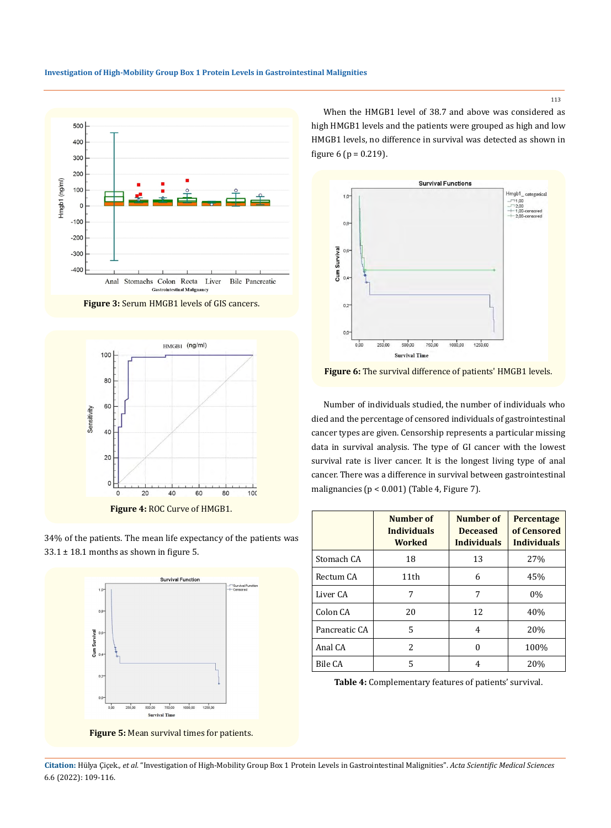







34% of the patients. The mean life expectancy of the patients was  $33.1 \pm 18.1$  months as shown in figure 5.



**Figure 5:** Mean survival times for patients.

When the HMGB1 level of 38.7 and above was considered as high HMGB1 levels and the patients were grouped as high and low HMGB1 levels, no difference in survival was detected as shown in figure  $6 (p = 0.219)$ .





Number of individuals studied, the number of individuals who died and the percentage of censored individuals of gastrointestinal cancer types are given. Censorship represents a particular missing data in survival analysis. The type of GI cancer with the lowest survival rate is liver cancer. It is the longest living type of anal cancer. There was a difference in survival between gastrointestinal malignancies (p < 0.001) (Table 4, Figure 7).

|               | Number of<br><b>Individuals</b><br><b>Worked</b> | Number of<br><b>Deceased</b><br><b>Individuals</b> | Percentage<br>of Censored<br><b>Individuals</b> |
|---------------|--------------------------------------------------|----------------------------------------------------|-------------------------------------------------|
| Stomach CA    | 18                                               | 13                                                 | 27%                                             |
| Rectum CA     | 11 <sub>th</sub>                                 | 6                                                  | 45%                                             |
| Liver CA      | 7                                                | 7                                                  | 0%                                              |
| Colon CA      | 20                                               | 12                                                 | 40%                                             |
| Pancreatic CA | 5                                                | 4                                                  | 20%                                             |
| Anal CA       | $\mathcal{L}$                                    | O                                                  | 100%                                            |
| Bile CA       | 5                                                | 4                                                  | 20%                                             |

**Table 4:** Complementary features of patients' survival.

**Citation:** Hülya Çiçek*., et al.* "Investigation of High-Mobility Group Box 1 Protein Levels in Gastrointestinal Malignities". *Acta Scientific Medical Sciences*  6.6 (2022): 109-116.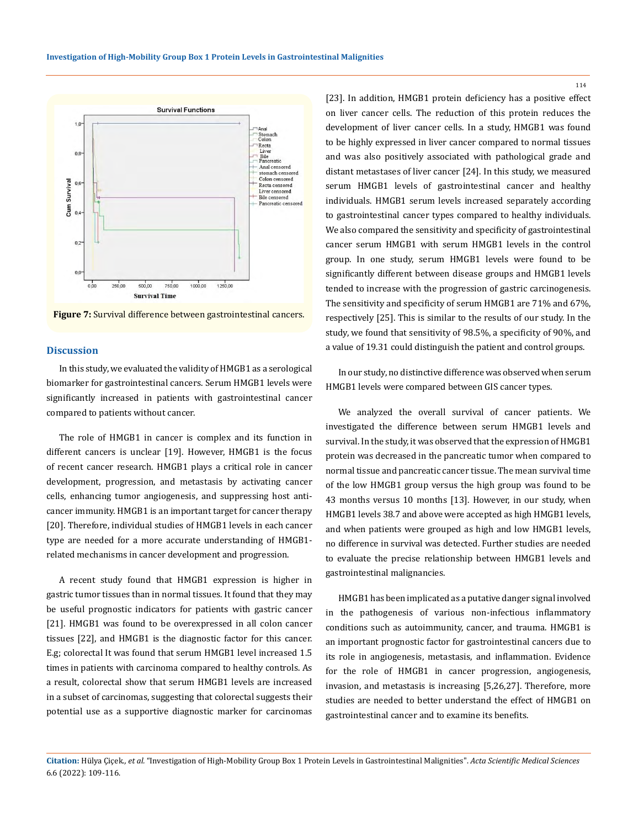

**Figure 7:** Survival difference between gastrointestinal cancers.

## **Discussion**

In this study, we evaluated the validity of HMGB1 as a serological biomarker for gastrointestinal cancers. Serum HMGB1 levels were significantly increased in patients with gastrointestinal cancer compared to patients without cancer.

The role of HMGB1 in cancer is complex and its function in different cancers is unclear [19]. However, HMGB1 is the focus of recent cancer research. HMGB1 plays a critical role in cancer development, progression, and metastasis by activating cancer cells, enhancing tumor angiogenesis, and suppressing host anticancer immunity. HMGB1 is an important target for cancer therapy [20]. Therefore, individual studies of HMGB1 levels in each cancer type are needed for a more accurate understanding of HMGB1 related mechanisms in cancer development and progression.

A recent study found that HMGB1 expression is higher in gastric tumor tissues than in normal tissues. It found that they may be useful prognostic indicators for patients with gastric cancer [21]. HMGB1 was found to be overexpressed in all colon cancer tissues [22], and HMGB1 is the diagnostic factor for this cancer. E.g; colorectal It was found that serum HMGB1 level increased 1.5 times in patients with carcinoma compared to healthy controls. As a result, colorectal show that serum HMGB1 levels are increased in a subset of carcinomas, suggesting that colorectal suggests their potential use as a supportive diagnostic marker for carcinomas

[23]. In addition, HMGB1 protein deficiency has a positive effect on liver cancer cells. The reduction of this protein reduces the development of liver cancer cells. In a study, HMGB1 was found to be highly expressed in liver cancer compared to normal tissues and was also positively associated with pathological grade and distant metastases of liver cancer [24]. In this study, we measured serum HMGB1 levels of gastrointestinal cancer and healthy individuals. HMGB1 serum levels increased separately according to gastrointestinal cancer types compared to healthy individuals. We also compared the sensitivity and specificity of gastrointestinal cancer serum HMGB1 with serum HMGB1 levels in the control group. In one study, serum HMGB1 levels were found to be significantly different between disease groups and HMGB1 levels tended to increase with the progression of gastric carcinogenesis. The sensitivity and specificity of serum HMGB1 are 71% and 67%, respectively [25]. This is similar to the results of our study. In the study, we found that sensitivity of 98.5%, a specificity of 90%, and a value of 19.31 could distinguish the patient and control groups.

In our study, no distinctive difference was observed when serum HMGB1 levels were compared between GIS cancer types.

We analyzed the overall survival of cancer patients. We investigated the difference between serum HMGB1 levels and survival. In the study, it was observed that the expression of HMGB1 protein was decreased in the pancreatic tumor when compared to normal tissue and pancreatic cancer tissue. The mean survival time of the low HMGB1 group versus the high group was found to be 43 months versus 10 months [13]. However, in our study, when HMGB1 levels 38.7 and above were accepted as high HMGB1 levels, and when patients were grouped as high and low HMGB1 levels, no difference in survival was detected. Further studies are needed to evaluate the precise relationship between HMGB1 levels and gastrointestinal malignancies.

HMGB1 has been implicated as a putative danger signal involved in the pathogenesis of various non-infectious inflammatory conditions such as autoimmunity, cancer, and trauma. HMGB1 is an important prognostic factor for gastrointestinal cancers due to its role in angiogenesis, metastasis, and inflammation. Evidence for the role of HMGB1 in cancer progression, angiogenesis, invasion, and metastasis is increasing [5,26,27]. Therefore, more studies are needed to better understand the effect of HMGB1 on gastrointestinal cancer and to examine its benefits.

**Citation:** Hülya Çiçek*., et al.* "Investigation of High-Mobility Group Box 1 Protein Levels in Gastrointestinal Malignities". *Acta Scientific Medical Sciences*  6.6 (2022): 109-116.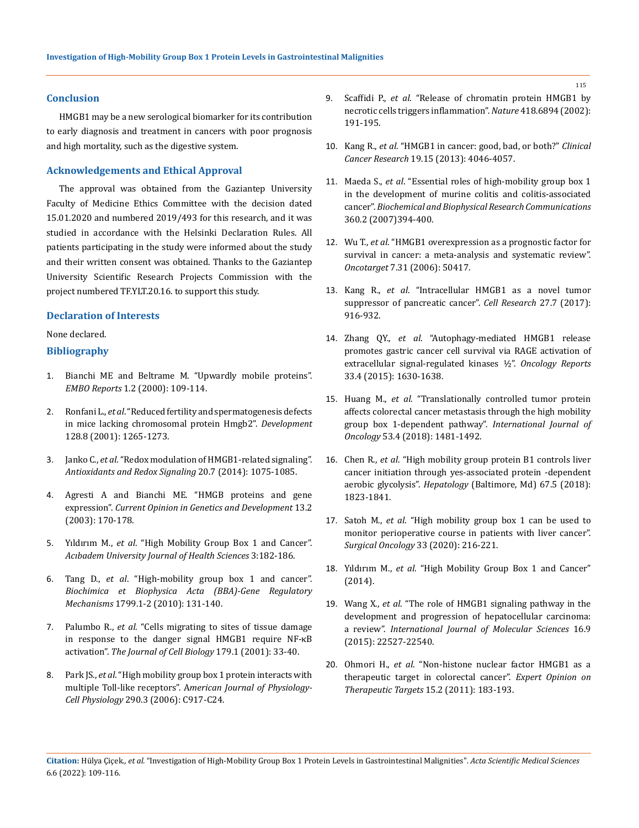## **Conclusion**

HMGB1 may be a new serological biomarker for its contribution to early diagnosis and treatment in cancers with poor prognosis and high mortality, such as the digestive system.

## **Acknowledgements and Ethical Approval**

The approval was obtained from the Gaziantep University Faculty of Medicine Ethics Committee with the decision dated 15.01.2020 and numbered 2019/493 for this research, and it was studied in accordance with the Helsinki Declaration Rules. All patients participating in the study were informed about the study and their written consent was obtained. Thanks to the Gaziantep University Scientific Research Projects Commission with the project numbered TF.YLT.20.16. to support this study.

## **Declaration of Interests**

## None declared.

## **Bibliography**

- 1. [Bianchi ME and Beltrame M. "Upwardly mobile proteins".](https://www.ncbi.nlm.nih.gov/pmc/articles/PMC1084262/)  *EMBO Reports* [1.2 \(2000\): 109-114.](https://www.ncbi.nlm.nih.gov/pmc/articles/PMC1084262/)
- 2. Ronfani L., *et al*[. "Reduced fertility and spermatogenesis defects](https://pubmed.ncbi.nlm.nih.gov/11262228/)  [in mice lacking chromosomal protein Hmgb2".](https://pubmed.ncbi.nlm.nih.gov/11262228/) *Development*  [128.8 \(2001\): 1265-1273.](https://pubmed.ncbi.nlm.nih.gov/11262228/)
- 3. Janko C., *et al*. "Redox modulation of HMGB1-related signaling". *Antioxidants and Redox Signaling* 20.7 (2014): 1075-1085.
- 4. [Agresti A and Bianchi ME. "HMGB proteins and gene](https://pubmed.ncbi.nlm.nih.gov/12672494/)  expression". *[Current Opinion in Genetics and Development](https://pubmed.ncbi.nlm.nih.gov/12672494/)* 13.2 [\(2003\): 170-178.](https://pubmed.ncbi.nlm.nih.gov/12672494/)
- 5. Yıldırım M., *et al*. "High Mobility Group Box 1 and Cancer". *Acıbadem University Journal of Health Sciences* 3:182-186.
- 6. Tang D., *et al*. "High-mobility group box 1 and cancer". *Biochimica et Biophysica Acta (BBA)-Gene Regulatory Mechanisms* 1799.1-2 (2010): 131-140.
- 7. Palumbo R., *et al*[. "Cells migrating to sites of tissue damage](https://pubmed.ncbi.nlm.nih.gov/17923528/)  [in response to the danger signal HMGB1 require NF-κB](https://pubmed.ncbi.nlm.nih.gov/17923528/)  activation". *[The Journal of Cell Biology](https://pubmed.ncbi.nlm.nih.gov/17923528/)* 179.1 (2001): 33-40.
- 8. Park JS., *et al*[. "High mobility group box 1 protein interacts with](https://pubmed.ncbi.nlm.nih.gov/16267105/)  multiple Toll-like receptors". A*[merican Journal of Physiology-](https://pubmed.ncbi.nlm.nih.gov/16267105/)Cell Physiology* [290.3 \(2006\): C917-C24.](https://pubmed.ncbi.nlm.nih.gov/16267105/)
- 9. Scaffidi P., *et al*[. "Release of chromatin protein HMGB1 by](https://pubmed.ncbi.nlm.nih.gov/12110890/)  [necrotic cells triggers inflammation".](https://pubmed.ncbi.nlm.nih.gov/12110890/) *Nature* 418.6894 (2002): [191-195.](https://pubmed.ncbi.nlm.nih.gov/12110890/)
- 10. Kang R., *et al*. "HMGB1 in cancer: good, bad, or both?" *Clinical Cancer Research* 19.15 (2013): 4046-4057.
- 11. Maeda S., *et al*[. "Essential roles of high-mobility group box 1](https://pubmed.ncbi.nlm.nih.gov/17599806/)  [in the development of murine colitis and colitis-associated](https://pubmed.ncbi.nlm.nih.gov/17599806/)  cancer". *[Biochemical and Biophysical Research Communications](https://pubmed.ncbi.nlm.nih.gov/17599806/)* [360.2 \(2007\)394-400.](https://pubmed.ncbi.nlm.nih.gov/17599806/)
- 12. Wu T., *et al*[. "HMGB1 overexpression as a prognostic factor for](https://pubmed.ncbi.nlm.nih.gov/27391431/)  [survival in cancer: a meta-analysis and systematic review".](https://pubmed.ncbi.nlm.nih.gov/27391431/)  *Oncotarget* [7.31 \(2006\): 50417.](https://pubmed.ncbi.nlm.nih.gov/27391431/)
- 13. Kang R., *et al*. "Intracellular HMGB1 as a novel tumor suppressor of pancreatic cancer". *Cell Research* 27.7 (2017): 916-932.
- 14. Zhang QY., *et al*[. "Autophagy-mediated HMGB1 release](https://pubmed.ncbi.nlm.nih.gov/25652880/)  [promotes gastric cancer cell survival via RAGE activation of](https://pubmed.ncbi.nlm.nih.gov/25652880/)  [extracellular signal-regulated kinases ½".](https://pubmed.ncbi.nlm.nih.gov/25652880/) *Oncology Reports* [33.4 \(2015\): 1630-1638.](https://pubmed.ncbi.nlm.nih.gov/25652880/)
- 15. Huang M., *et al*[. "Translationally controlled tumor protein](https://pubmed.ncbi.nlm.nih.gov/30066846/)  [affects colorectal cancer metastasis through the high mobility](https://pubmed.ncbi.nlm.nih.gov/30066846/)  [group box 1-dependent pathway".](https://pubmed.ncbi.nlm.nih.gov/30066846/) *International Journal of Oncology* [53.4 \(2018\): 1481-1492](https://pubmed.ncbi.nlm.nih.gov/30066846/).
- 16. Chen R., *et al*. "High mobility group protein B1 controls liver cancer initiation through yes-associated protein -dependent aerobic glycolysis". *Hepatology* (Baltimore, Md) 67.5 (2018): 1823-1841.
- 17. Satoh M., *et al*[. "High mobility group box 1 can be used to](https://www.researchgate.net/publication/334886313_High_mobility_group_box_1_can_be_used_to_monitor_perioperative_course_in_patients_with_liver_cancer)  [monitor perioperative course in patients with liver cancer".](https://www.researchgate.net/publication/334886313_High_mobility_group_box_1_can_be_used_to_monitor_perioperative_course_in_patients_with_liver_cancer)  *[Surgical Oncology](https://www.researchgate.net/publication/334886313_High_mobility_group_box_1_can_be_used_to_monitor_perioperative_course_in_patients_with_liver_cancer)* 33 (2020): 216-221.
- 18. Yıldırım M., *et al*. "High Mobility Group Box 1 and Cancer" (2014).
- 19. Wang X., *et al*[. "The role of HMGB1 signaling pathway in the](https://pubmed.ncbi.nlm.nih.gov/26393575/)  [development and progression of hepatocellular carcinoma:](https://pubmed.ncbi.nlm.nih.gov/26393575/)  a review". *[International Journal of](https://pubmed.ncbi.nlm.nih.gov/26393575/) Molecular Sciences* 16.9 [\(2015\): 22527-22540.](https://pubmed.ncbi.nlm.nih.gov/26393575/)
- 20. Ohmori H., *et al*[. "Non-histone nuclear factor HMGB1 as a](https://pubmed.ncbi.nlm.nih.gov/21204727/)  [therapeutic target in colorectal cancer".](https://pubmed.ncbi.nlm.nih.gov/21204727/) *Expert Opinion on [Therapeutic Targets](https://pubmed.ncbi.nlm.nih.gov/21204727/)* 15.2 (2011): 183-193.

**Citation:** Hülya Çiçek*., et al.* "Investigation of High-Mobility Group Box 1 Protein Levels in Gastrointestinal Malignities". *Acta Scientific Medical Sciences*  6.6 (2022): 109-116.